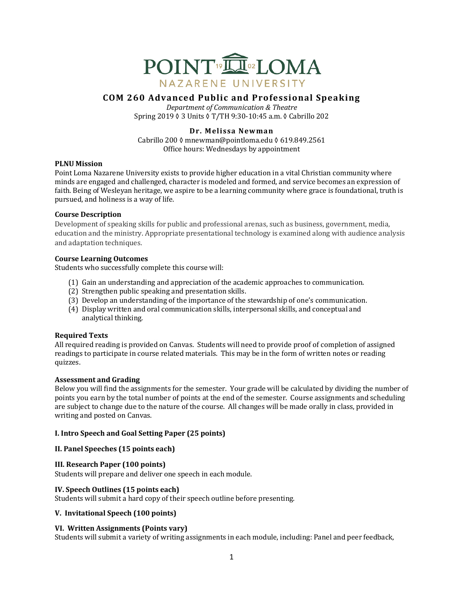

# **COM 260 Advanced Public and Professional Speaking**

*Department of Communication & Theatre* Spring 2019 ♦ 3 Units ♦ T/TH 9:30-10:45 a.m. ♦ Cabrillo 202

# **Dr. Melissa Newman**

Cabrillo 200 ◊ mnewman@pointloma.edu ◊ 619.849.2561 Office hours: Wednesdays by appointment

### **PLNU** Mission

Point Loma Nazarene University exists to provide higher education in a vital Christian community where minds are engaged and challenged, character is modeled and formed, and service becomes an expression of faith. Being of Wesleyan heritage, we aspire to be a learning community where grace is foundational, truth is pursued, and holiness is a way of life.

### **Course Description**

Development of speaking skills for public and professional arenas, such as business, government, media, education and the ministry. Appropriate presentational technology is examined along with audience analysis and adaptation techniques.

## **Course Learning Outcomes**

Students who successfully complete this course will:

- (1) Gain an understanding and appreciation of the academic approaches to communication.
- (2) Strengthen public speaking and presentation skills.
- (3) Develop an understanding of the importance of the stewardship of one's communication.
- (4) Display written and oral communication skills, interpersonal skills, and conceptual and analytical thinking.

# **Required Texts**

All required reading is provided on Canvas. Students will need to provide proof of completion of assigned readings to participate in course related materials. This may be in the form of written notes or reading quizzes.

## **Assessment and Grading**

Below you will find the assignments for the semester. Your grade will be calculated by dividing the number of points you earn by the total number of points at the end of the semester. Course assignments and scheduling are subject to change due to the nature of the course. All changes will be made orally in class, provided in writing and posted on Canvas.

# **I. Intro Speech and Goal Setting Paper (25 points)**

# **II. Panel Speeches (15 points each)**

# **III. Research Paper (100 points)**

Students will prepare and deliver one speech in each module.

# **IV.** Speech Outlines (15 points each)

Students will submit a hard copy of their speech outline before presenting.

# **V. Invitational Speech (100 points)**

# **VI. Written Assignments (Points vary)**

Students will submit a variety of writing assignments in each module, including: Panel and peer feedback,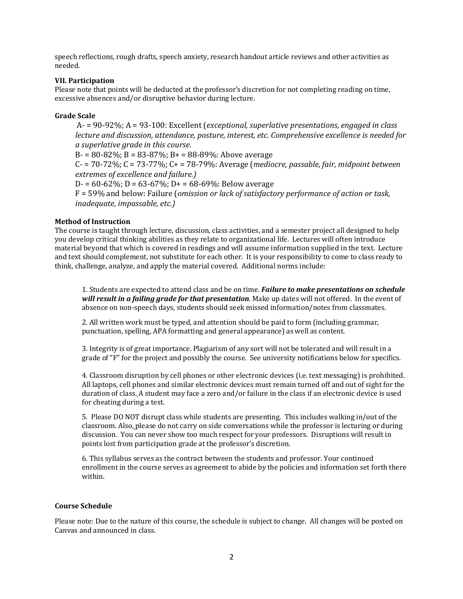speech reflections, rough drafts, speech anxiety, research handout article reviews and other activities as needed.

### **VII. Participation**

Please note that points will be deducted at the professor's discretion for not completing reading on time, excessive absences and/or disruptive behavior during lecture.

#### **Grade Scale**

A- = 90-92%; A = 93-100: Excellent (*exceptional, superlative presentations, engaged in class lecture and discussion, attendance, posture, interest, etc. Comprehensive excellence is needed for a superlative grade in this course*.  $B = 80 - 82\%$ ;  $B = 83 - 87\%$ ;  $B = 88 - 89\%$ : Above average C- =  $70-72\%$ ; C =  $73-77\%$ ; C + =  $78-79\%$ : Average (*mediocre, passable, fair, midpoint between extremes of excellence and failure.)*  $D = 60-62\%$ ;  $D = 63-67\%$ ;  $D = 68-69\%$ : Below average F = 59% and below: Failure (*omission or lack of satisfactory performance of action or task,* 

*inadequate, impassable, etc.)* 

## **Method of Instruction**

The course is taught through lecture, discussion, class activities, and a semester project all designed to help you develop critical thinking abilities as they relate to organizational life. Lectures will often introduce material beyond that which is covered in readings and will assume information supplied in the text. Lecture and text should complement, not substitute for each other. It is your responsibility to come to class ready to think, challenge, analyze, and apply the material covered. Additional norms include:

1. Students are expected to attend class and be on time. **Failure to make presentations on schedule** *will result in a failing grade for that presentation*. Make up dates will not offered. In the event of absence on non-speech days, students should seek missed information/notes from classmates.

2. All written work must be typed, and attention should be paid to form (including grammar, punctuation, spelling, APA formatting and general appearance) as well as content.

3. Integrity is of great importance. Plagiarism of any sort will not be tolerated and will result in a grade of "F" for the project and possibly the course. See university notifications below for specifics.

4. Classroom disruption by cell phones or other electronic devices (i.e. text messaging) is prohibited. All laptops, cell phones and similar electronic devices must remain turned off and out of sight for the duration of class. A student may face a zero and/or failure in the class if an electronic device is used for cheating during a test.

5. Please DO NOT disrupt class while students are presenting. This includes walking in/out of the classroom. Also, please do not carry on side conversations while the professor is lecturing or during discussion. You can never show too much respect for your professors. Disruptions will result in points lost from participation grade at the professor's discretion.

6. This syllabus serves as the contract between the students and professor. Your continued enrollment in the course serves as agreement to abide by the policies and information set forth there within. 

#### **Course Schedule**

Please note: Due to the nature of this course, the schedule is subject to change. All changes will be posted on Canvas and announced in class.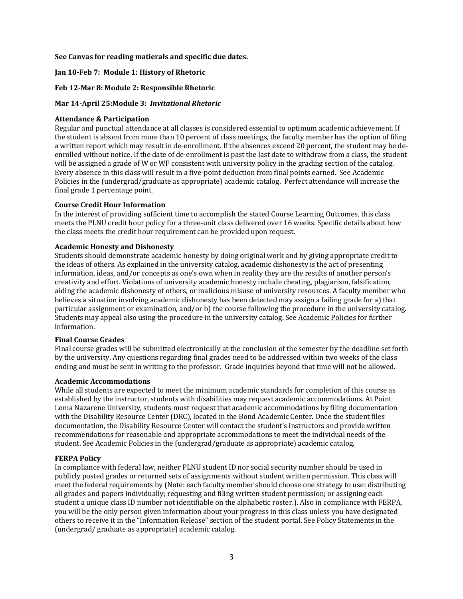### See Canvas for reading matierals and specific due dates.

### **Jan 10-Feb 7: Module 1: History of Rhetoric**

#### **Feb 12-Mar 8: Module 2: Responsible Rhetoric**

#### **Mar 14-April 25:Module 3:** *Invitational Rhetoric*

#### **Attendance & Participation**

Regular and punctual attendance at all classes is considered essential to optimum academic achievement. If the student is absent from more than 10 percent of class meetings, the faculty member has the option of filing a written report which may result in de-enrollment. If the absences exceed 20 percent, the student may be deenrolled without notice. If the date of de-enrollment is past the last date to withdraw from a class, the student will be assigned a grade of W or WF consistent with university policy in the grading section of the catalog. Every absence in this class will result in a five-point deduction from final points earned. See Academic Policies in the (undergrad/graduate as appropriate) academic catalog. Perfect attendance will increase the final grade 1 percentage point.

#### **Course Credit Hour Information**

In the interest of providing sufficient time to accomplish the stated Course Learning Outcomes, this class meets the PLNU credit hour policy for a three-unit class delivered over 16 weeks. Specific details about how the class meets the credit hour requirement can be provided upon request.

#### **Academic Honesty and Dishonesty**

Students should demonstrate academic honesty by doing original work and by giving appropriate credit to the ideas of others. As explained in the university catalog, academic dishonesty is the act of presenting information, ideas, and/or concepts as one's own when in reality they are the results of another person's creativity and effort. Violations of university academic honesty include cheating, plagiarism, falsification, aiding the academic dishonesty of others, or malicious misuse of university resources. A faculty member who believes a situation involving academic dishonesty has been detected may assign a failing grade for a) that particular assignment or examination, and/or b) the course following the procedure in the university catalog. Students may appeal also using the procedure in the university catalog. See Academic Policies for further information.

#### **Final Course Grades**

Final course grades will be submitted electronically at the conclusion of the semester by the deadline set forth by the university. Any questions regarding final grades need to be addressed within two weeks of the class ending and must be sent in writing to the professor. Grade inquiries beyond that time will not be allowed.

#### **Academic Accommodations**

While all students are expected to meet the minimum academic standards for completion of this course as established by the instructor, students with disabilities may request academic accommodations. At Point Loma Nazarene University, students must request that academic accommodations by filing documentation with the Disability Resource Center (DRC), located in the Bond Academic Center. Once the student files documentation, the Disability Resource Center will contact the student's instructors and provide written recommendations for reasonable and appropriate accommodations to meet the individual needs of the student. See Academic Policies in the (undergrad/graduate as appropriate) academic catalog.

#### **FERPA Policy**

In compliance with federal law, neither PLNU student ID nor social security number should be used in publicly posted grades or returned sets of assignments without student written permission. This class will meet the federal requirements by (Note: each faculty member should choose one strategy to use: distributing all grades and papers individually; requesting and filing written student permission; or assigning each student a unique class ID number not identifiable on the alphabetic roster.). Also in compliance with FERPA, you will be the only person given information about your progress in this class unless you have designated others to receive it in the "Information Release" section of the student portal. See Policy Statements in the (undergrad/ graduate as appropriate) academic catalog.